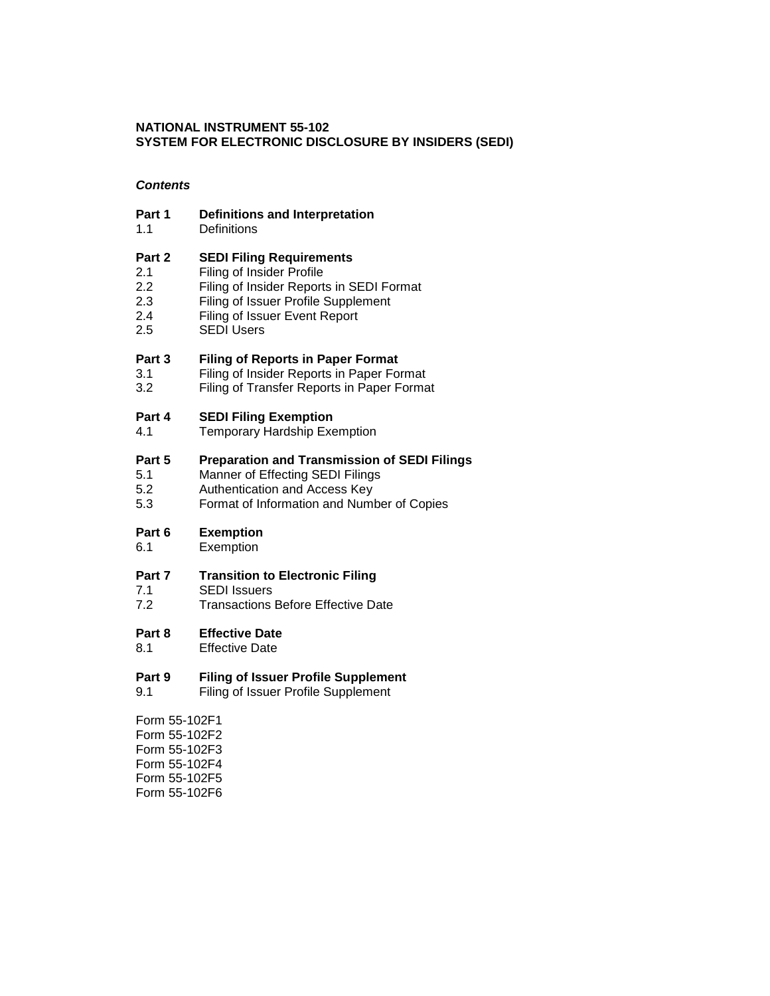## **NATIONAL INSTRUMENT 55-102 SYSTEM FOR ELECTRONIC DISCLOSURE BY INSIDERS (SEDI)**

#### *Contents*

- **Part 1 Definitions and Interpretation**
- 1.1 Definitions

# **Part 2 SEDI Filing Requirements**<br>2.1 Filing of Insider Profile

Filing of Insider Profile

- 2.2 Filing of Insider Reports in SEDI Format
- 2.3 Filing of Issuer Profile Supplement
- 2.4 Filing of Issuer Event Report
- 2.5 SEDI Users

#### **Part 3 Filing of Reports in Paper Format**

- 3.1 Filing of Insider Reports in Paper Format
- 3.2 Filing of Transfer Reports in Paper Format

#### **Part 4 SEDI Filing Exemption**

4.1 Temporary Hardship Exemption

## **Part 5 Preparation and Transmission of SEDI Filings**

- 5.1 Manner of Effecting SEDI Filings<br>5.2 Authentication and Access Kev
- Authentication and Access Key
- 5.3 Format of Information and Number of Copies

# **Part 6 Exemption**

6.1 Exemption

#### **Part 7 Transition to Electronic Filing**

- 7.1 SEDI Issuers
- 7.2 Transactions Before Effective Date

# **Part 8 Effective Date**<br>8.1 **Effective Date**

**Effective Date** 

#### **Part 9 Filing of Issuer Profile Supplement**

- 9.1 Filing of Issuer Profile Supplement
- Form 55-102F1 Form 55-102F2 Form 55-102F3 Form 55-102F4 Form 55-102F5 Form 55-102F6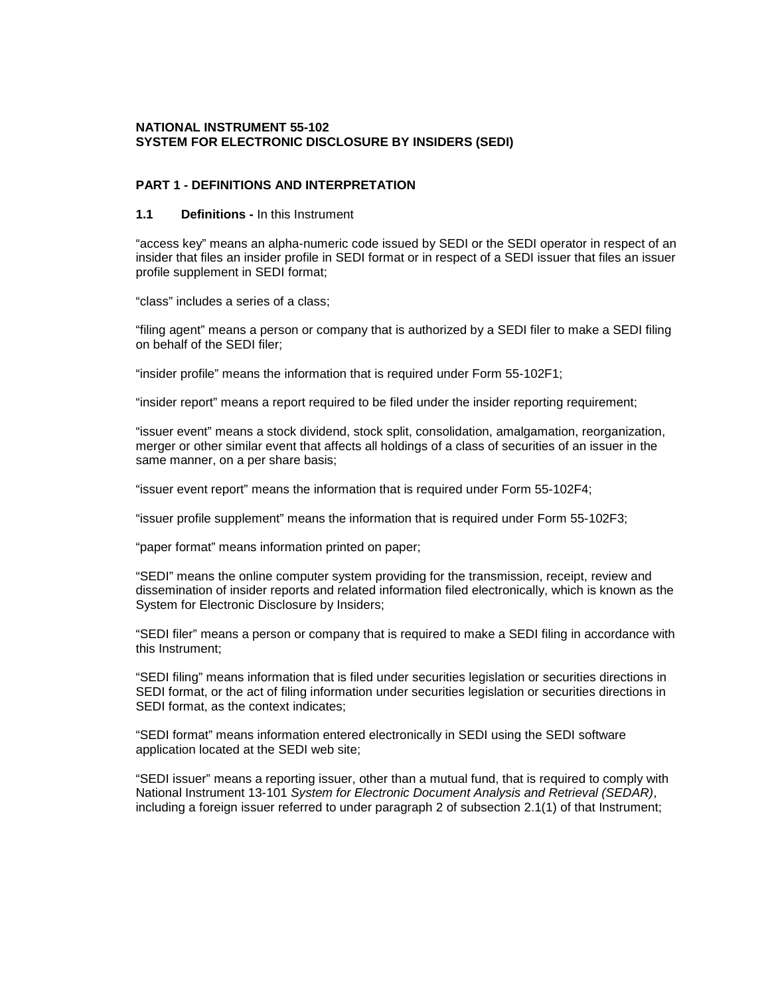#### **NATIONAL INSTRUMENT 55-102 SYSTEM FOR ELECTRONIC DISCLOSURE BY INSIDERS (SEDI)**

#### **PART 1 - DEFINITIONS AND INTERPRETATION**

#### **1.1 Definitions -** In this Instrument

"access key" means an alpha-numeric code issued by SEDI or the SEDI operator in respect of an insider that files an insider profile in SEDI format or in respect of a SEDI issuer that files an issuer profile supplement in SEDI format;

"class" includes a series of a class;

"filing agent" means a person or company that is authorized by a SEDI filer to make a SEDI filing on behalf of the SEDI filer;

"insider profile" means the information that is required under Form 55-102F1;

"insider report" means a report required to be filed under the insider reporting requirement;

"issuer event" means a stock dividend, stock split, consolidation, amalgamation, reorganization, merger or other similar event that affects all holdings of a class of securities of an issuer in the same manner, on a per share basis;

"issuer event report" means the information that is required under Form 55-102F4;

"issuer profile supplement" means the information that is required under Form 55-102F3;

"paper format" means information printed on paper;

"SEDI" means the online computer system providing for the transmission, receipt, review and dissemination of insider reports and related information filed electronically, which is known as the System for Electronic Disclosure by Insiders;

"SEDI filer" means a person or company that is required to make a SEDI filing in accordance with this Instrument;

"SEDI filing" means information that is filed under securities legislation or securities directions in SEDI format, or the act of filing information under securities legislation or securities directions in SEDI format, as the context indicates;

"SEDI format" means information entered electronically in SEDI using the SEDI software application located at the SEDI web site;

"SEDI issuer" means a reporting issuer, other than a mutual fund, that is required to comply with National Instrument 13-101 *System for Electronic Document Analysis and Retrieval (SEDAR)*, including a foreign issuer referred to under paragraph 2 of subsection 2.1(1) of that Instrument;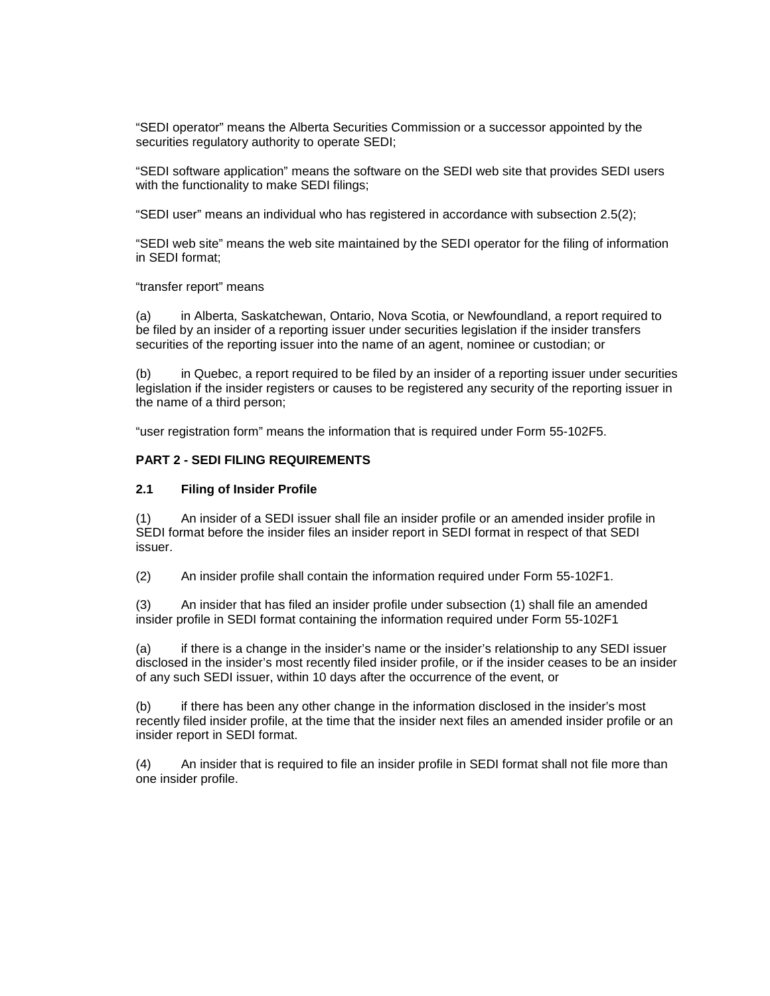"SEDI operator" means the Alberta Securities Commission or a successor appointed by the securities regulatory authority to operate SEDI;

"SEDI software application" means the software on the SEDI web site that provides SEDI users with the functionality to make SEDI filings;

"SEDI user" means an individual who has registered in accordance with subsection 2.5(2);

"SEDI web site" means the web site maintained by the SEDI operator for the filing of information in SEDI format;

#### "transfer report" means

(a) in Alberta, Saskatchewan, Ontario, Nova Scotia, or Newfoundland, a report required to be filed by an insider of a reporting issuer under securities legislation if the insider transfers securities of the reporting issuer into the name of an agent, nominee or custodian; or

(b) in Quebec, a report required to be filed by an insider of a reporting issuer under securities legislation if the insider registers or causes to be registered any security of the reporting issuer in the name of a third person;

"user registration form" means the information that is required under Form 55-102F5.

#### **PART 2 - SEDI FILING REQUIREMENTS**

#### **2.1 Filing of Insider Profile**

(1) An insider of a SEDI issuer shall file an insider profile or an amended insider profile in SEDI format before the insider files an insider report in SEDI format in respect of that SEDI issuer.

(2) An insider profile shall contain the information required under Form 55-102F1.

(3) An insider that has filed an insider profile under subsection (1) shall file an amended insider profile in SEDI format containing the information required under Form 55-102F1

(a) if there is a change in the insider's name or the insider's relationship to any SEDI issuer disclosed in the insider's most recently filed insider profile, or if the insider ceases to be an insider of any such SEDI issuer, within 10 days after the occurrence of the event, or

(b) if there has been any other change in the information disclosed in the insider's most recently filed insider profile, at the time that the insider next files an amended insider profile or an insider report in SEDI format.

(4) An insider that is required to file an insider profile in SEDI format shall not file more than one insider profile.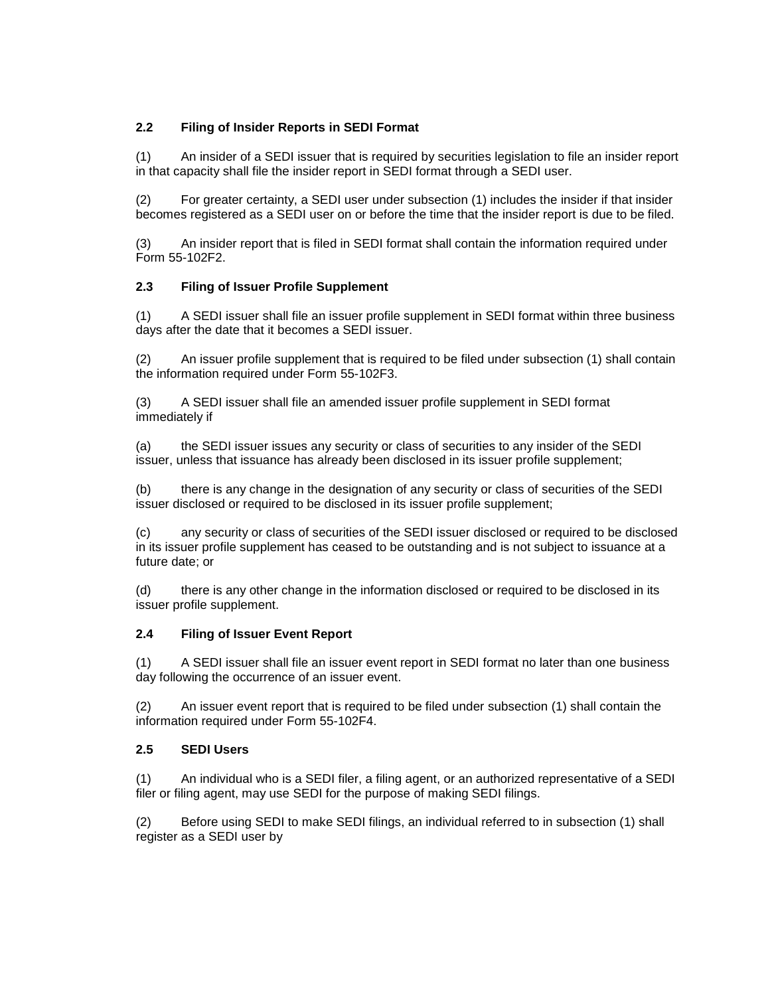# **2.2 Filing of Insider Reports in SEDI Format**

(1) An insider of a SEDI issuer that is required by securities legislation to file an insider report in that capacity shall file the insider report in SEDI format through a SEDI user.

(2) For greater certainty, a SEDI user under subsection (1) includes the insider if that insider becomes registered as a SEDI user on or before the time that the insider report is due to be filed.

(3) An insider report that is filed in SEDI format shall contain the information required under Form 55-102F2.

# **2.3 Filing of Issuer Profile Supplement**

(1) A SEDI issuer shall file an issuer profile supplement in SEDI format within three business days after the date that it becomes a SEDI issuer.

(2) An issuer profile supplement that is required to be filed under subsection (1) shall contain the information required under Form 55-102F3.

(3) A SEDI issuer shall file an amended issuer profile supplement in SEDI format immediately if

(a) the SEDI issuer issues any security or class of securities to any insider of the SEDI issuer, unless that issuance has already been disclosed in its issuer profile supplement;

(b) there is any change in the designation of any security or class of securities of the SEDI issuer disclosed or required to be disclosed in its issuer profile supplement;

(c) any security or class of securities of the SEDI issuer disclosed or required to be disclosed in its issuer profile supplement has ceased to be outstanding and is not subject to issuance at a future date; or

(d) there is any other change in the information disclosed or required to be disclosed in its issuer profile supplement.

## **2.4 Filing of Issuer Event Report**

(1) A SEDI issuer shall file an issuer event report in SEDI format no later than one business day following the occurrence of an issuer event.

(2) An issuer event report that is required to be filed under subsection (1) shall contain the information required under Form 55-102F4.

## **2.5 SEDI Users**

(1) An individual who is a SEDI filer, a filing agent, or an authorized representative of a SEDI filer or filing agent, may use SEDI for the purpose of making SEDI filings.

(2) Before using SEDI to make SEDI filings, an individual referred to in subsection (1) shall register as a SEDI user by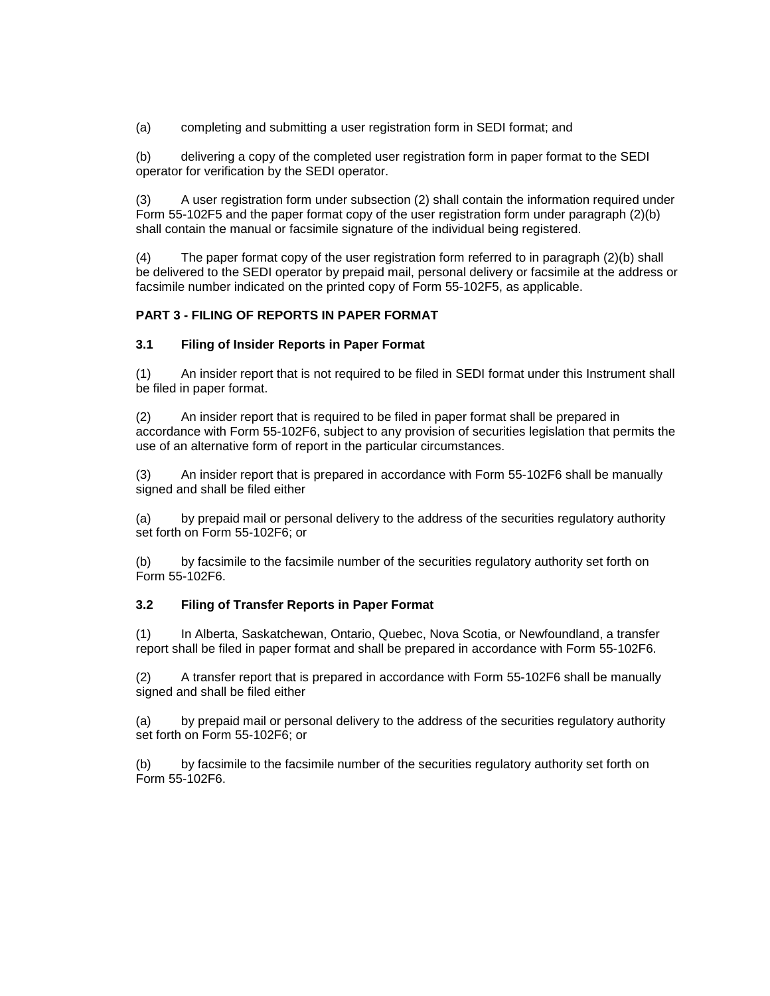(a) completing and submitting a user registration form in SEDI format; and

(b) delivering a copy of the completed user registration form in paper format to the SEDI operator for verification by the SEDI operator.

(3) A user registration form under subsection (2) shall contain the information required under Form 55-102F5 and the paper format copy of the user registration form under paragraph (2)(b) shall contain the manual or facsimile signature of the individual being registered.

(4) The paper format copy of the user registration form referred to in paragraph (2)(b) shall be delivered to the SEDI operator by prepaid mail, personal delivery or facsimile at the address or facsimile number indicated on the printed copy of Form 55-102F5, as applicable.

### **PART 3 - FILING OF REPORTS IN PAPER FORMAT**

#### **3.1 Filing of Insider Reports in Paper Format**

(1) An insider report that is not required to be filed in SEDI format under this Instrument shall be filed in paper format.

(2) An insider report that is required to be filed in paper format shall be prepared in accordance with Form 55-102F6, subject to any provision of securities legislation that permits the use of an alternative form of report in the particular circumstances.

(3) An insider report that is prepared in accordance with Form 55-102F6 shall be manually signed and shall be filed either

(a) by prepaid mail or personal delivery to the address of the securities regulatory authority set forth on Form 55-102F6; or

(b) by facsimile to the facsimile number of the securities regulatory authority set forth on Form 55-102F6.

#### **3.2 Filing of Transfer Reports in Paper Format**

(1) In Alberta, Saskatchewan, Ontario, Quebec, Nova Scotia, or Newfoundland, a transfer report shall be filed in paper format and shall be prepared in accordance with Form 55-102F6.

(2) A transfer report that is prepared in accordance with Form 55-102F6 shall be manually signed and shall be filed either

(a) by prepaid mail or personal delivery to the address of the securities regulatory authority set forth on Form 55-102F6; or

(b) by facsimile to the facsimile number of the securities regulatory authority set forth on Form 55-102F6.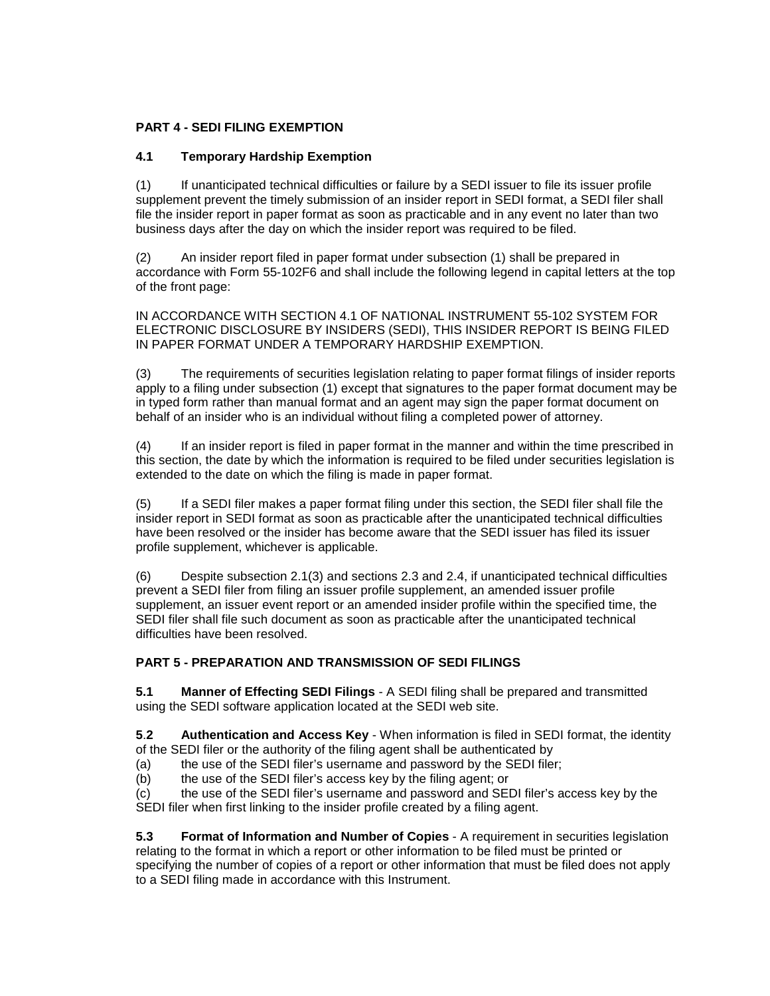# **PART 4 - SEDI FILING EXEMPTION**

# **4.1 Temporary Hardship Exemption**

(1) If unanticipated technical difficulties or failure by a SEDI issuer to file its issuer profile supplement prevent the timely submission of an insider report in SEDI format, a SEDI filer shall file the insider report in paper format as soon as practicable and in any event no later than two business days after the day on which the insider report was required to be filed.

(2) An insider report filed in paper format under subsection (1) shall be prepared in accordance with Form 55-102F6 and shall include the following legend in capital letters at the top of the front page:

IN ACCORDANCE WITH SECTION 4.1 OF NATIONAL INSTRUMENT 55-102 SYSTEM FOR ELECTRONIC DISCLOSURE BY INSIDERS (SEDI), THIS INSIDER REPORT IS BEING FILED IN PAPER FORMAT UNDER A TEMPORARY HARDSHIP EXEMPTION.

(3) The requirements of securities legislation relating to paper format filings of insider reports apply to a filing under subsection (1) except that signatures to the paper format document may be in typed form rather than manual format and an agent may sign the paper format document on behalf of an insider who is an individual without filing a completed power of attorney.

(4) If an insider report is filed in paper format in the manner and within the time prescribed in this section, the date by which the information is required to be filed under securities legislation is extended to the date on which the filing is made in paper format.

(5) If a SEDI filer makes a paper format filing under this section, the SEDI filer shall file the insider report in SEDI format as soon as practicable after the unanticipated technical difficulties have been resolved or the insider has become aware that the SEDI issuer has filed its issuer profile supplement, whichever is applicable.

(6) Despite subsection 2.1(3) and sections 2.3 and 2.4, if unanticipated technical difficulties prevent a SEDI filer from filing an issuer profile supplement, an amended issuer profile supplement, an issuer event report or an amended insider profile within the specified time, the SEDI filer shall file such document as soon as practicable after the unanticipated technical difficulties have been resolved.

## **PART 5 - PREPARATION AND TRANSMISSION OF SEDI FILINGS**

**5.1 Manner of Effecting SEDI Filings** - A SEDI filing shall be prepared and transmitted using the SEDI software application located at the SEDI web site.

**5**.**2 Authentication and Access Key** - When information is filed in SEDI format, the identity of the SEDI filer or the authority of the filing agent shall be authenticated by

(a) the use of the SEDI filer's username and password by the SEDI filer;

(b) the use of the SEDI filer's access key by the filing agent; or

(c) the use of the SEDI filer's username and password and SEDI filer's access key by the SEDI filer when first linking to the insider profile created by a filing agent.

**5.3 Format of Information and Number of Copies** - A requirement in securities legislation relating to the format in which a report or other information to be filed must be printed or specifying the number of copies of a report or other information that must be filed does not apply to a SEDI filing made in accordance with this Instrument.